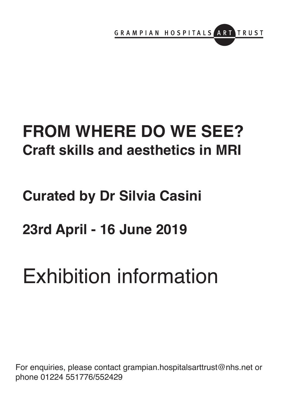

# **FROM WHERE DO WE SEE? Craft skills and aesthetics in MRI**

# **Curated by Dr Silvia Casini**

# **23rd April - 16 June 2019**

# Exhibition information

For enquiries, please contact grampian.hospitalsarttrust@nhs.net or phone 01224 551776/552429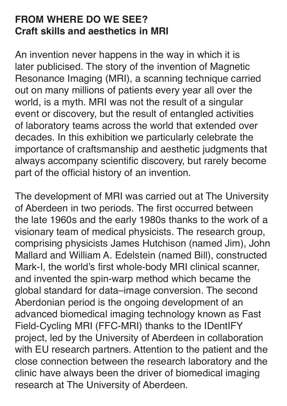### **FROM WHERE DO WE SEE? Craft skills and aesthetics in MRI**

An invention never happens in the way in which it is later publicised. The story of the invention of Magnetic Resonance Imaging (MRI), a scanning technique carried out on many millions of patients every year all over the world, is a myth. MRI was not the result of a singular event or discovery, but the result of entangled activities of laboratory teams across the world that extended over decades. In this exhibition we particularly celebrate the importance of craftsmanship and aesthetic judgments that always accompany scientific discovery, but rarely become part of the official history of an invention.

The development of MRI was carried out at The University of Aberdeen in two periods. The first occurred between the late 1960s and the early 1980s thanks to the work of a visionary team of medical physicists. The research group, comprising physicists James Hutchison (named Jim), John Mallard and William A. Edelstein (named Bill), constructed Mark-I, the world's first whole-body MRI clinical scanner, and invented the spin-warp method which became the global standard for data–image conversion. The second Aberdonian period is the ongoing development of an advanced biomedical imaging technology known as Fast Field-Cycling MRI (FFC-MRI) thanks to the IDentIFY project, led by the University of Aberdeen in collaboration with EU research partners. Attention to the patient and the close connection between the research laboratory and the clinic have always been the driver of biomedical imaging research at The University of Aberdeen.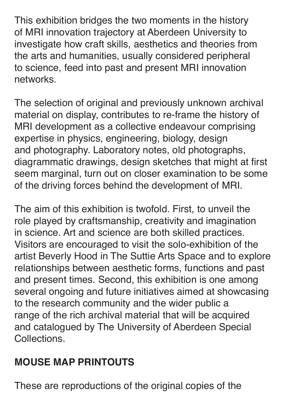This exhibition bridges the two moments in the history of MRI innovation trajectory at Aberdeen University to investigate how craft skills, aesthetics and theories from the arts and humanities, usually considered peripheral to science, feed into past and present MRI innovation networks.

The selection of original and previously unknown archival material on display, contributes to re-frame the history of MRI development as a collective endeavour comprising expertise in physics, engineering, biology, design and photography. Laboratory notes, old photographs, diagrammatic drawings, design sketches that might at first seem marginal, turn out on closer examination to be some of the driving forces behind the development of MRI.

The aim of this exhibition is twofold. First, to unveil the role played by craftsmanship, creativity and imagination in science. Art and science are both skilled practices. Visitors are encouraged to visit the solo-exhibition of the artist Beverly Hood in The Suttie Arts Space and to explore relationships between aesthetic forms, functions and past and present times. Second, this exhibition is one among several ongoing and future initiatives aimed at showcasing to the research community and the wider public a range of the rich archival material that will be acquired and catalogued by The University of Aberdeen Special Collections.

## **MOUSE MAP PRINTOUTS**

These are reproductions of the original copies of the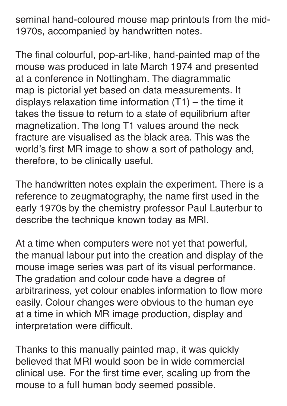seminal hand-coloured mouse map printouts from the mid-1970s, accompanied by handwritten notes.

The final colourful, pop-art-like, hand-painted map of the mouse was produced in late March 1974 and presented at a conference in Nottingham. The diagrammatic map is pictorial yet based on data measurements. It displays relaxation time information (T1) – the time it takes the tissue to return to a state of equilibrium after magnetization. The long T1 values around the neck fracture are visualised as the black area. This was the world's first MR image to show a sort of pathology and, therefore, to be clinically useful.

The handwritten notes explain the experiment. There is a reference to zeugmatography, the name first used in the early 1970s by the chemistry professor Paul Lauterbur to describe the technique known today as MRI.

At a time when computers were not yet that powerful, the manual labour put into the creation and display of the mouse image series was part of its visual performance. The gradation and colour code have a degree of arbitrariness, yet colour enables information to flow more easily. Colour changes were obvious to the human eye at a time in which MR image production, display and interpretation were difficult.

Thanks to this manually painted map, it was quickly believed that MRI would soon be in wide commercial clinical use. For the first time ever, scaling up from the mouse to a full human body seemed possible.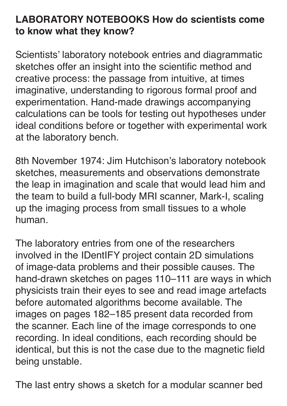### **LABORATORY NOTEBOOKS How do scientists come to know what they know?**

Scientists' laboratory notebook entries and diagrammatic sketches offer an insight into the scientific method and creative process: the passage from intuitive, at times imaginative, understanding to rigorous formal proof and experimentation. Hand-made drawings accompanying calculations can be tools for testing out hypotheses under ideal conditions before or together with experimental work at the laboratory bench.

8th November 1974: Jim Hutchison's laboratory notebook sketches, measurements and observations demonstrate the leap in imagination and scale that would lead him and the team to build a full-body MRI scanner, Mark-I, scaling up the imaging process from small tissues to a whole human.

The laboratory entries from one of the researchers involved in the IDentIFY project contain 2D simulations of image-data problems and their possible causes. The hand-drawn sketches on pages 110–111 are ways in which physicists train their eyes to see and read image artefacts before automated algorithms become available. The images on pages 182–185 present data recorded from the scanner. Each line of the image corresponds to one recording. In ideal conditions, each recording should be identical, but this is not the case due to the magnetic field being unstable.

The last entry shows a sketch for a modular scanner bed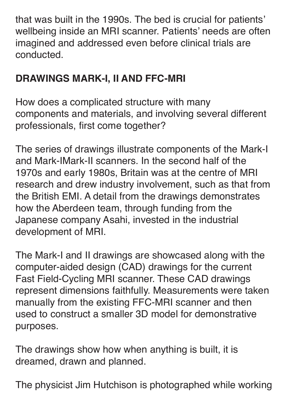that was built in the 1990s. The bed is crucial for patients' wellbeing inside an MRI scanner. Patients' needs are often imagined and addressed even before clinical trials are conducted.

## **DRAWINGS MARK-I, II AND FFC-MRI**

How does a complicated structure with many components and materials, and involving several different professionals, first come together?

The series of drawings illustrate components of the Mark-I and Mark-IMark-II scanners. In the second half of the 1970s and early 1980s, Britain was at the centre of MRI research and drew industry involvement, such as that from the British EMI. A detail from the drawings demonstrates how the Aberdeen team, through funding from the Japanese company Asahi, invested in the industrial development of MRI.

The Mark-I and II drawings are showcased along with the computer-aided design (CAD) drawings for the current Fast Field-Cycling MRI scanner. These CAD drawings represent dimensions faithfully. Measurements were taken manually from the existing FFC-MRI scanner and then used to construct a smaller 3D model for demonstrative purposes.

The drawings show how when anything is built, it is dreamed, drawn and planned.

The physicist Jim Hutchison is photographed while working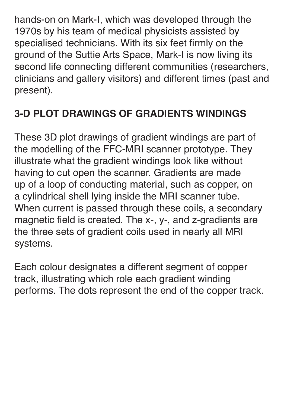hands-on on Mark-I, which was developed through the 1970s by his team of medical physicists assisted by specialised technicians. With its six feet firmly on the ground of the Suttie Arts Space, Mark-I is now living its second life connecting different communities (researchers, clinicians and gallery visitors) and different times (past and present).

## **3-D PLOT DRAWINGS OF GRADIENTS WINDINGS**

These 3D plot drawings of gradient windings are part of the modelling of the FFC-MRI scanner prototype. They illustrate what the gradient windings look like without having to cut open the scanner. Gradients are made up of a loop of conducting material, such as copper, on a cylindrical shell lying inside the MRI scanner tube. When current is passed through these coils, a secondary magnetic field is created. The x-, y-, and z-gradients are the three sets of gradient coils used in nearly all MRI systems.

Each colour designates a different segment of copper track, illustrating which role each gradient winding performs. The dots represent the end of the copper track.